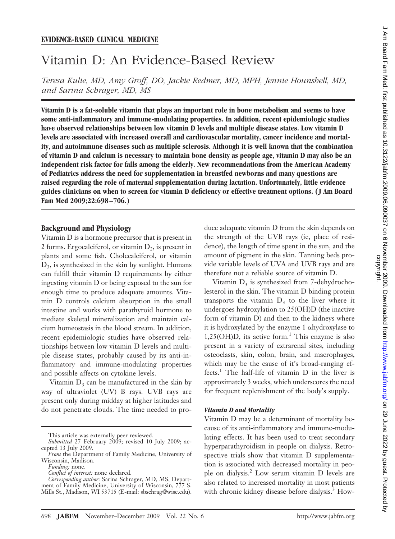# Vitamin D: An Evidence-Based Review

*Teresa Kulie, MD, Amy Groff, DO, Jackie Redmer, MD, MPH, Jennie Hounshell, MD, and Sarina Schrager, MD, MS*

**Vitamin D is a fat-soluble vitamin that plays an important role in bone metabolism and seems to have some anti-inflammatory and immune-modulating properties. In addition, recent epidemiologic studies have observed relationships between low vitamin D levels and multiple disease states. Low vitamin D levels are associated with increased overall and cardiovascular mortality, cancer incidence and mortality, and autoimmune diseases such as multiple sclerosis. Although it is well known that the combination of vitamin D and calcium is necessary to maintain bone density as people age, vitamin D may also be an independent risk factor for falls among the elderly. New recommendations from the American Academy of Pediatrics address the need for supplementation in breastfed newborns and many questions are raised regarding the role of maternal supplementation during lactation. Unfortunately, little evidence guides clinicians on when to screen for vitamin D deficiency or effective treatment options. ( J Am Board Fam Med 2009;22:698 –706.)**

## **Background and Physiology**

Vitamin D is a hormone precursor that is present in 2 forms. Ergocalciferol, or vitamin  $D_2$ , is present in plants and some fish. Cholecalciferol, or vitamin  $D_3$ , is synthesized in the skin by sunlight. Humans can fulfill their vitamin D requirements by either ingesting vitamin D or being exposed to the sun for enough time to produce adequate amounts. Vitamin D controls calcium absorption in the small intestine and works with parathyroid hormone to mediate skeletal mineralization and maintain calcium homeostasis in the blood stream. In addition, recent epidemiologic studies have observed relationships between low vitamin D levels and multiple disease states, probably caused by its anti-inflammatory and immune-modulating properties and possible affects on cytokine levels.

Vitamin  $D_3$  can be manufactured in the skin by way of ultraviolet (UV) B rays. UVB rays are present only during midday at higher latitudes and do not penetrate clouds. The time needed to pro-

This article was externally peer reviewed.

*Funding:* none.

duce adequate vitamin D from the skin depends on the strength of the UVB rays (ie, place of residence), the length of time spent in the sun, and the amount of pigment in the skin. Tanning beds provide variable levels of UVA and UVB rays and are therefore not a reliable source of vitamin D.

Vitamin  $D_3$  is synthesized from 7-dehydrocholesterol in the skin. The vitamin D binding protein transports the vitamin  $D_3$  to the liver where it undergoes hydroxylation to 25(OH)D (the inactive form of vitamin D) and then to the kidneys where it is hydroxylated by the enzyme  $1$   $\alpha$ hydroxylase to  $1,25(OH)D$ , its active form.<sup>1</sup> This enzyme is also present in a variety of extrarenal sites, including osteoclasts, skin, colon, brain, and macrophages, which may be the cause of it's broad-ranging effects.<sup>1</sup> The half-life of vitamin  $D$  in the liver is approximately 3 weeks, which underscores the need for frequent replenishment of the body's supply.

#### *Vitamin D and Mortality*

Vitamin D may be a determinant of mortality because of its anti-inflammatory and immune-modulating effects. It has been used to treat secondary hyperparathyroidism in people on dialysis. Retrospective trials show that vitamin D supplementation is associated with decreased mortality in people on dialysis.2 Low serum vitamin D levels are also related to increased mortality in most patients with chronic kidney disease before dialysis.<sup>3</sup> How-

*Submitted* 27 February 2009; revised 10 July 2009; accepted 13 July 2009.

*From* the Department of Family Medicine, University of Wisconsin, Madison.

*Conflict of interest:* none declared.

*Corresponding author:* Sarina Schrager, MD, MS, Department of Family Medicine, University of Wisconsin, 777 S. Mills St., Madison, WI 53715 (E-mail: sbschrag@wisc.edu).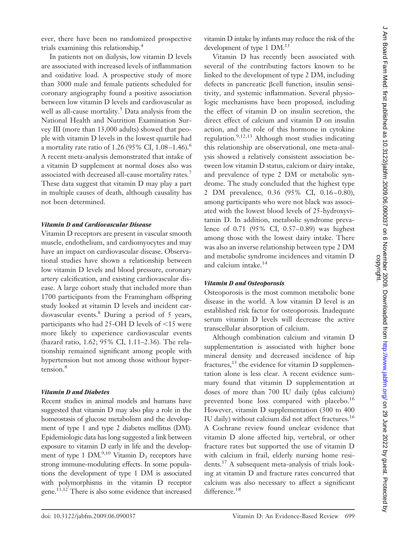ever, there have been no randomized prospective trials examining this relationship.4

In patients not on dialysis, low vitamin D levels are associated with increased levels of inflammation and oxidative load. A prospective study of more than 3000 male and female patients scheduled for coronary angiography found a positive association between low vitamin D levels and cardiovascular as well as all-cause mortality. $5$  Data analysis from the National Health and Nutrition Examination Survey III (more than 13,000 adults) showed that people with vitamin D levels in the lowest quartile had a mortality rate ratio of 1.26 (95% CI,  $1.08-1.46$ ).<sup>6</sup> A recent meta-analysis demonstrated that intake of a vitamin D supplement at normal doses also was associated with decreased all-cause mortality rates.<sup>7</sup> These data suggest that vitamin D may play a part in multiple causes of death, although causality has not been determined.

#### *Vitamin D and Cardiovascular Disease*

Vitamin D receptors are present in vascular smooth muscle, endothelium, and cardiomyocytes and may have an impact on cardiovascular disease. Observational studies have shown a relationship between low vitamin D levels and blood pressure, coronary artery calcification, and existing cardiovascular disease. A large cohort study that included more than 1700 participants from the Framingham offspring study looked at vitamin D levels and incident cardiovascular events.<sup>8</sup> During a period of 5 years, participants who had 25-OH D levels of  $\leq$ 15 were more likely to experience cardiovascular events (hazard ratio, 1.62; 95% CI, 1.11–2.36). The relationship remained significant among people with hypertension but not among those without hypertension.8

#### *Vitamin D and Diabetes*

Recent studies in animal models and humans have suggested that vitamin D may also play a role in the homeostasis of glucose metabolism and the development of type 1 and type 2 diabetes mellitus (DM). Epidemiologic data has long suggested a link between exposure to vitamin D early in life and the development of type 1 DM.<sup>9,10</sup> Vitamin  $D_3$  receptors have strong immune-modulating effects. In some populations the development of type 1 DM is associated with polymorphisms in the vitamin D receptor gene.11,12 There is also some evidence that increased vitamin D intake by infants may reduce the risk of the development of type 1 DM.<sup>13</sup>

Vitamin D has recently been associated with several of the contributing factors known to be linked to the development of type 2 DM, including defects in pancreatic  $\beta$ cell function, insulin sensitivity, and systemic inflammation. Several physiologic mechanisms have been proposed, including the effect of vitamin D on insulin secretion, the direct effect of calcium and vitamin D on insulin action, and the role of this hormone in cytokine regulation.<sup>9,12,13</sup> Although most studies indicating this relationship are observational, one meta-analysis showed a relatively consistent association between low vitamin D status, calcium or dairy intake, and prevalence of type 2 DM or metabolic syndrome. The study concluded that the highest type 2 DM prevalence, 0.36 (95% CI, 0.16-0.80), among participants who were not black was associated with the lowest blood levels of 25-hydroxyvitamin D. In addition, metabolic syndrome prevalence of 0.71 (95% CI, 0.57-0.89) was highest among those with the lowest dairy intake. There was also an inverse relationship between type 2 DM and metabolic syndrome incidences and vitamin D and calcium intake.14

#### *Vitamin D and Osteoporosis*

Osteoporosis is the most common metabolic bone disease in the world. A low vitamin D level is an established risk factor for osteoporosis. Inadequate serum vitamin D levels will decrease the active transcellular absorption of calcium.

Although combination calcium and vitamin D supplementation is associated with higher bone mineral density and decreased incidence of hip fractures,<sup>15</sup> the evidence for vitamin D supplementation alone is less clear. A recent evidence summary found that vitamin D supplementation at doses of more than 700 IU daily (plus calcium) prevented bone loss compared with placebo.<sup>16</sup> However, vitamin D supplementation (300 to 400 IU daily) without calcium did not affect fractures.<sup>16</sup> A Cochrane review found unclear evidence that vitamin D alone affected hip, vertebral, or other fracture rates but supported the use of vitamin D with calcium in frail, elderly nursing home residents.17 A subsequent meta-analysis of trials looking at vitamin D and fracture rates concurred that calcium was also necessary to affect a significant difference.<sup>18</sup>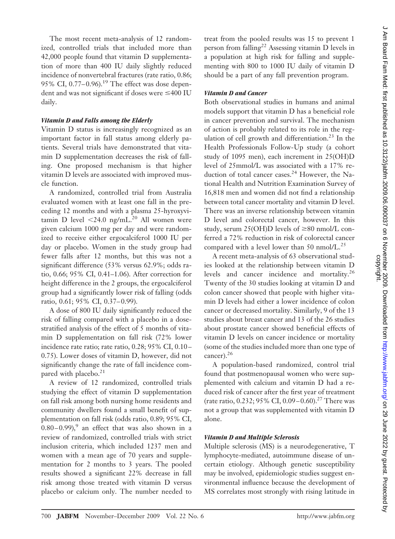The most recent meta-analysis of 12 randomized, controlled trials that included more than 42,000 people found that vitamin D supplementation of more than 400 IU daily slightly reduced incidence of nonvertebral fractures (rate ratio, 0.86; 95% CI, 0.77–0.96).<sup>19</sup> The effect was dose dependent and was not significant if doses were  $\leq$ 400 IU daily.

#### *Vitamin D and Falls among the Elderly*

Vitamin D status is increasingly recognized as an important factor in fall status among elderly patients. Several trials have demonstrated that vitamin D supplementation decreases the risk of falling. One proposed mechanism is that higher vitamin D levels are associated with improved muscle function.

A randomized, controlled trial from Australia evaluated women with at least one fall in the preceding 12 months and with a plasma 25-hyroxyvitamin D level  $\langle 24.0 \text{ ng/mL.}^{20}$  All women were given calcium 1000 mg per day and were randomized to receive either ergocalciferol 1000 IU per day or placebo. Women in the study group had fewer falls after 12 months, but this was not a significant difference (53% versus 62.9%; odds ratio, 0.66; 95% CI, 0.41–1.06). After correction for height difference in the 2 groups, the ergocalciferol group had a significantly lower risk of falling (odds ratio, 0.61; 95% CI, 0.37-0.99).

A dose of 800 IU daily significantly reduced the risk of falling compared with a placebo in a dosestratified analysis of the effect of 5 months of vitamin D supplementation on fall risk (72% lower incidence rate ratio; rate ratio, 0.28; 95% CI, 0.10-0.75). Lower doses of vitamin D, however, did not significantly change the rate of fall incidence compared with placebo. $2<sup>1</sup>$ 

A review of 12 randomized, controlled trials studying the effect of vitamin D supplementation on fall risk among both nursing home residents and community dwellers found a small benefit of supplementation on fall risk (odds ratio, 0.89; 95% CI,  $0.80 - 0.99$ , an effect that was also shown in a review of randomized, controlled trials with strict inclusion criteria, which included 1237 men and women with a mean age of 70 years and supplementation for 2 months to 3 years. The pooled results showed a significant 22% decrease in fall risk among those treated with vitamin D versus placebo or calcium only. The number needed to treat from the pooled results was 15 to prevent 1 person from falling<sup>22</sup> Assessing vitamin D levels in a population at high risk for falling and supplementing with 800 to 1000 IU daily of vitamin D should be a part of any fall prevention program.

## *Vitamin D and Cancer*

Both observational studies in humans and animal models support that vitamin D has a beneficial role in cancer prevention and survival. The mechanism of action is probably related to its role in the regulation of cell growth and differentiation.<sup>23</sup> In the Health Professionals Follow-Up study (a cohort study of 1095 men), each increment in 25(OH)D level of 25mmol/L was associated with a 17% reduction of total cancer cases.<sup>24</sup> However, the National Health and Nutrition Examination Survey of 16,818 men and women did not find a relationship between total cancer mortality and vitamin D level. There was an inverse relationship between vitamin D level and colorectal cancer, however. In this study, serum 25(OH)D levels of  $\geq 80$  nmol/L conferred a 72% reduction in risk of colorectal cancer compared with a level lower than 50 nmol/L.<sup>25</sup>

A recent meta-analysis of 63 observational studies looked at the relationship between vitamin D levels and cancer incidence and mortality.26 Twenty of the 30 studies looking at vitamin D and colon cancer showed that people with higher vitamin D levels had either a lower incidence of colon cancer or decreased mortality. Similarly, 9 of the 13 studies about breast cancer and 13 of the 26 studies about prostate cancer showed beneficial effects of vitamin D levels on cancer incidence or mortality (some of the studies included more than one type of cancer).<sup>26</sup>

A population-based randomized, control trial found that postmenopausal women who were supplemented with calcium and vitamin D had a reduced risk of cancer after the first year of treatment (rate ratio, 0.232; 95% CI, 0.09-0.60).<sup>27</sup> There was not a group that was supplemented with vitamin D alone.

### *Vitamin D and Multiple Sclerosis*

Multiple sclerosis (MS) is a neurodegenerative, T lymphocyte-mediated, autoimmune disease of uncertain etiology. Although genetic susceptibility may be involved, epidemiologic studies suggest environmental influence because the development of MS correlates most strongly with rising latitude in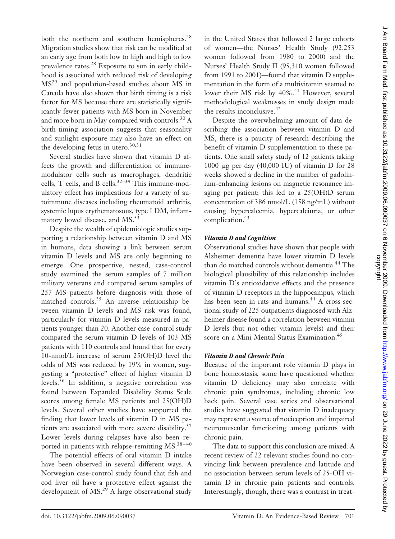both the northern and southern hemispheres.<sup>28</sup> Migration studies show that risk can be modified at an early age from both low to high and high to low prevalence rates.<sup>28</sup> Exposure to sun in early childhood is associated with reduced risk of developing MS<sup>29</sup> and population-based studies about MS in Canada have also shown that birth timing is a risk factor for MS because there are statistically significantly fewer patients with MS born in November and more born in May compared with controls.<sup>30</sup> A birth-timing association suggests that seasonality and sunlight exposure may also have an effect on the developing fetus in utero. $30,31$ 

Several studies have shown that vitamin D affects the growth and differentiation of immunemodulator cells such as macrophages, dendritic cells, T cells, and B cells. $32-34$  This immune-modulatory effect has implications for a variety of autoimmune diseases including rheumatoid arthritis, systemic lupus erythematosous, type I DM, inflammatory bowel disease, and MS.<sup>33</sup>

Despite the wealth of epidemiologic studies supporting a relationship between vitamin D and MS in humans, data showing a link between serum vitamin D levels and MS are only beginning to emerge. One prospective, nested, case-control study examined the serum samples of 7 million military veterans and compared serum samples of 257 MS patients before diagnosis with those of matched controls.<sup>35</sup> An inverse relationship between vitamin D levels and MS risk was found, particularly for vitamin D levels measured in patients younger than 20. Another case-control study compared the serum vitamin D levels of 103 MS patients with 110 controls and found that for every 10-nmol/L increase of serum 25(OH)D level the odds of MS was reduced by 19% in women, suggesting a "protective" effect of higher vitamin D levels.36 In addition, a negative correlation was found between Expanded Disability Status Scale scores among female MS patients and 25(OH)D levels. Several other studies have supported the finding that lower levels of vitamin D in MS patients are associated with more severe disability.<sup>37</sup> Lower levels during relapses have also been reported in patients with relapse-remitting MS.<sup>38-40</sup>

The potential effects of oral vitamin D intake have been observed in several different ways. A Norwegian case-control study found that fish and cod liver oil have a protective effect against the development of MS.<sup>29</sup> A large observational study in the United States that followed 2 large cohorts of women—the Nurses' Health Study (92,253 women followed from 1980 to 2000) and the Nurses' Health Study II (95,310 women followed from 1991 to 2001)—found that vitamin D supplementation in the form of a multivitamin seemed to lower their MS risk by  $40\%$ .<sup>41</sup> However, several methodological weaknesses in study design made the results inconclusive.<sup>42</sup>

Despite the overwhelming amount of data describing the association between vitamin D and MS, there is a paucity of research describing the benefit of vitamin D supplementation to these patients. One small safety study of 12 patients taking 1000  $\mu$ g per day (40,000 IU) of vitamin D for 28 weeks showed a decline in the number of gadolinium-enhancing lesions on magnetic resonance imaging per patient; this led to a 25(OH)D serum concentration of 386 nmol/L (158 ng/mL) without causing hypercalcemia, hypercalciuria, or other complication.<sup>43</sup>

# *Vitamin D and Cognition*

Observational studies have shown that people with Alzheimer dementia have lower vitamin D levels than do matched controls without dementia.<sup>44</sup> The biological plausibility of this relationship includes vitamin D's antioxidative effects and the presence of vitamin D receptors in the hippocampus, which has been seen in rats and humans.<sup>44</sup> A cross-sectional study of 225 outpatients diagnosed with Alzheimer disease found a correlation between vitamin D levels (but not other vitamin levels) and their score on a Mini Mental Status Examination.<sup>45</sup>

## *Vitamin D and Chronic Pain*

Because of the important role vitamin D plays in bone homeostasis, some have questioned whether vitamin D deficiency may also correlate with chronic pain syndromes, including chronic low back pain. Several case series and observational studies have suggested that vitamin D inadequacy may represent a source of nociception and impaired neuromuscular functioning among patients with chronic pain.

The data to support this conclusion are mixed. A recent review of 22 relevant studies found no convincing link between prevalence and latitude and no association between serum levels of 25-OH vitamin D in chronic pain patients and controls. Interestingly, though, there was a contrast in treat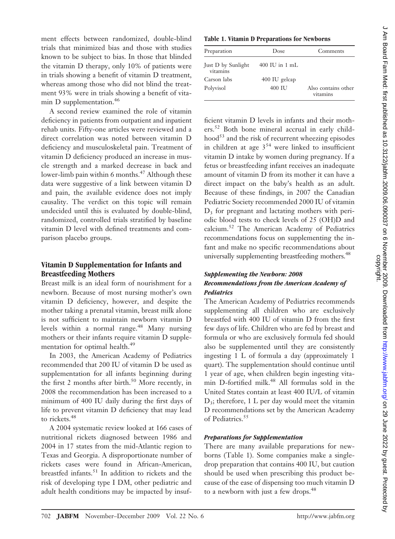ment effects between randomized, double-blind trials that minimized bias and those with studies known to be subject to bias. In those that blinded the vitamin D therapy, only 10% of patients were in trials showing a benefit of vitamin D treatment, whereas among those who did not blind the treatment 93% were in trials showing a benefit of vitamin D supplementation.<sup>46</sup>

A second review examined the role of vitamin deficiency in patients from outpatient and inpatient rehab units. Fifty-one articles were reviewed and a direct correlation was noted between vitamin D deficiency and musculoskeletal pain. Treatment of vitamin D deficiency produced an increase in muscle strength and a marked decrease in back and lower-limb pain within 6 months. $47$  Although these data were suggestive of a link between vitamin D and pain, the available evidence does not imply causality. The verdict on this topic will remain undecided until this is evaluated by double-blind, randomized, controlled trials stratified by baseline vitamin D level with defined treatments and comparison placebo groups.

# **Vitamin D Supplementation for Infants and Breastfeeding Mothers**

Breast milk is an ideal form of nourishment for a newborn. Because of most nursing mother's own vitamin D deficiency, however, and despite the mother taking a prenatal vitamin, breast milk alone is not sufficient to maintain newborn vitamin D levels within a normal range.<sup>48</sup> Many nursing mothers or their infants require vitamin D supplementation for optimal health.<sup>49</sup>

In 2003, the American Academy of Pediatrics recommended that 200 IU of vitamin D be used as supplementation for all infants beginning during the first 2 months after birth. $50$  More recently, in 2008 the recommendation has been increased to a minimum of 400 IU daily during the first days of life to prevent vitamin D deficiency that may lead to rickets.<sup>48</sup>

A 2004 systematic review looked at 166 cases of nutritional rickets diagnosed between 1986 and 2004 in 17 states from the mid-Atlantic region to Texas and Georgia. A disproportionate number of rickets cases were found in African-American, breastfed infants.<sup>51</sup> In addition to rickets and the risk of developing type I DM, other pediatric and adult health conditions may be impacted by insuf-

#### **Table 1. Vitamin D Preparations for Newborns**

| Preparation                    | Dose             | Comments                        |
|--------------------------------|------------------|---------------------------------|
| Just D by Sunlight<br>vitamins | $400$ IU in 1 mL |                                 |
| Carson labs                    | 400 IU gelcap    |                                 |
| Polyvisol                      | 400 IU           | Also contains other<br>vitamins |

ficient vitamin D levels in infants and their mothers.52 Both bone mineral accrual in early childhood<sup>53</sup> and the risk of recurrent wheezing episodes in children at age  $3<sup>54</sup>$  were linked to insufficient vitamin D intake by women during pregnancy. If a fetus or breastfeeding infant receives an inadequate amount of vitamin D from its mother it can have a direct impact on the baby's health as an adult. Because of these findings, in 2007 the Canadian Pediatric Society recommended 2000 IU of vitamin D3 for pregnant and lactating mothers with periodic blood tests to check levels of 25 (OH)D and calcium.52 The American Academy of Pediatrics recommendations focus on supplementing the infant and make no specific recommendations about universally supplementing breastfeeding mothers.<sup>48</sup>

# *Supplementing the Newborn: 2008 Recommendations from the American Academy of Pediatrics*

The American Academy of Pediatrics recommends supplementing all children who are exclusively breastfed with 400 IU of vitamin D from the first few days of life. Children who are fed by breast and formula or who are exclusively formula fed should also be supplemented until they are consistently ingesting 1 L of formula a day (approximately 1 quart). The supplementation should continue until 1 year of age, when children begin ingesting vitamin D-fortified milk.<sup>48</sup> All formulas sold in the United States contain at least 400 IU/L of vitamin  $D_3$ ; therefore, 1 L per day would meet the vitamin D recommendations set by the American Academy of Pediatrics.<sup>55</sup>

#### *Preparations for Supplementation*

There are many available preparations for newborns (Table 1). Some companies make a singledrop preparation that contains 400 IU, but caution should be used when prescribing this product because of the ease of dispensing too much vitamin D to a newborn with just a few drops.<sup>48</sup>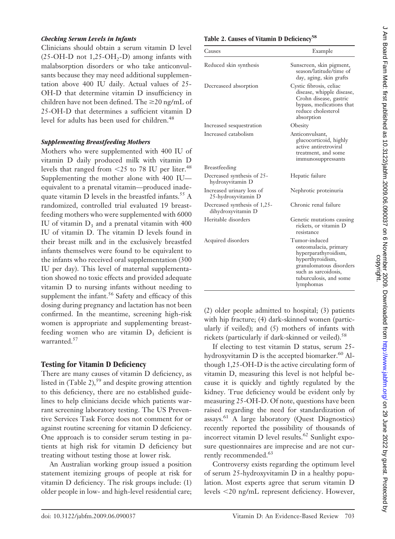# *Checking Serum Levels in Infants*

Clinicians should obtain a serum vitamin D level  $(25-OH-D$  not  $1,25-OH<sub>2</sub>-D)$  among infants with malabsorption disorders or who take anticonvulsants because they may need additional supplementation above 400 IU daily. Actual values of 25- OH-D that determine vitamin D insufficiency in children have not been defined. The  $\geq$ 20 ng/mL of 25-OH-D that determines a sufficient vitamin D level for adults has been used for children.<sup>48</sup>

# *Supplementing Breastfeeding Mothers*

Mothers who were supplemented with 400 IU of vitamin D daily produced milk with vitamin D levels that ranged from  $\leq$  25 to 78 IU per liter.<sup>48</sup> Supplementing the mother alone with 400 IU equivalent to a prenatal vitamin—produced inadequate vitamin  $D$  levels in the breastfed infants.<sup>55</sup> A randomized, controlled trial evaluated 19 breastfeeding mothers who were supplemented with 6000 IU of vitamin  $D_3$  and a prenatal vitamin with 400 IU of vitamin D. The vitamin D levels found in their breast milk and in the exclusively breastfed infants themselves were found to be equivalent to the infants who received oral supplementation (300 IU per day). This level of maternal supplementation showed no toxic effects and provided adequate vitamin D to nursing infants without needing to supplement the infant.<sup>56</sup> Safety and efficacy of this dosing during pregnancy and lactation has not been confirmed. In the meantime, screening high-risk women is appropriate and supplementing breastfeeding women who are vitamin  $D_3$  deficient is warranted.<sup>57</sup>

# **Testing for Vitamin D Deficiency**

There are many causes of vitamin D deficiency, as listed in  $(Table 2)$ ,<sup>59</sup> and despite growing attention to this deficiency, there are no established guidelines to help clinicians decide which patients warrant screening laboratory testing. The US Preventive Services Task Force does not comment for or against routine screening for vitamin D deficiency. One approach is to consider serum testing in patients at high risk for vitamin D deficiency but treating without testing those at lower risk.

An Australian working group issued a position statement itemizing groups of people at risk for vitamin D deficiency. The risk groups include: (1) older people in low- and high-level residential care;

# Table 2. Causes of Vitamin D Deficiency<sup>58</sup>

| Causes                                             | Example                                                                                                                                                                      |
|----------------------------------------------------|------------------------------------------------------------------------------------------------------------------------------------------------------------------------------|
| Reduced skin synthesis                             | Sunscreen, skin pigment,<br>season/latitude/time of<br>day, aging, skin grafts                                                                                               |
| Decreaseed absorption                              | Cystic fibrosis, celiac<br>disease, whipple disease,<br>Crohn disease, gastric<br>bypass, medications that<br>reduce cholesterol<br>absorption                               |
| Increased sesquestration                           | Obesity                                                                                                                                                                      |
| Increased catabolism                               | Anticonvulsant,<br>glucocorticoid, highly<br>active antiretroviral<br>treatment, and some<br>immunosuppressants                                                              |
| Breastfeeding                                      |                                                                                                                                                                              |
| Decreased synthesis of 25-<br>hydroxyvitamin D     | Hepatic failure                                                                                                                                                              |
| Increased urinary loss of<br>25-hydroxyvitamin D   | Nephrotic proteinuria                                                                                                                                                        |
| Decreased synthesis of 1,25-<br>dihydroxyvitamin D | Chronic renal failure                                                                                                                                                        |
| Heritable disorders                                | Genetic mutations causing<br>rickets, or vitamin D<br>resistance                                                                                                             |
| Acquired disorders                                 | Tumor-induced<br>osteomalacia, primary<br>hyperparathyroidism,<br>hyperthyroidism,<br>granulomatous disorders<br>such as sarcoidosis,<br>tuburculosis, and some<br>lymphomas |

(2) older people admitted to hospital; (3) patients with hip fracture; (4) dark-skinned women (particularly if veiled); and (5) mothers of infants with rickets (particularly if dark-skinned or veiled).<sup>58</sup>

If electing to test vitamin D status, serum 25 hydroxyvitamin  $D$  is the accepted biomarker.<sup>60</sup> Although 1,25-OH-D is the active circulating form of vitamin D, measuring this level is not helpful because it is quickly and tightly regulated by the kidney. True deficiency would be evident only by measuring 25-OH-D. Of note, questions have been raised regarding the need for standardization of assays.61 A large laboratory (Quest Diagnostics) recently reported the possibility of thousands of incorrect vitamin D level results.<sup>62</sup> Sunlight exposure questionnaires are imprecise and are not currently recommended.<sup>63</sup>

Controversy exists regarding the optimum level of serum 25-hydroxyvitamin D in a healthy population. Most experts agree that serum vitamin D levels -20 ng/mL represent deficiency. However,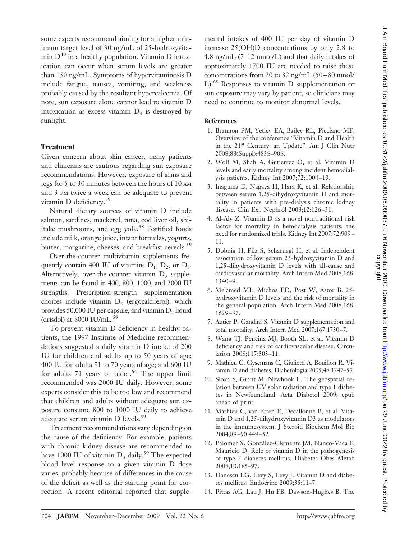some experts recommend aiming for a higher minimum target level of 30 ng/mL of 25-hydroxyvitamin  $D^{49}$  in a healthy population. Vitamin D intoxication can occur when serum levels are greater than 150 ng/mL. Symptoms of hypervitaminosis D include fatigue, nausea, vomiting, and weakness probably caused by the resultant hypercalcemia. Of note, sun exposure alone cannot lead to vitamin D intoxication as excess vitamin  $D_3$  is destroyed by sunlight.

## **Treatment**

Given concern about skin cancer, many patients and clinicians are cautious regarding sun exposure recommendations. However, exposure of arms and legs for 5 to 30 minutes between the hours of 10 am and 3 pm twice a week can be adequate to prevent vitamin D deficiency.<sup>59</sup>

Natural dietary sources of vitamin D include salmon, sardines, mackerel, tuna, cod liver oil, shiitake mushrooms, and egg yolk.<sup>58</sup> Fortified foods include milk, orange juice, infant formulas, yogurts, butter, margarine, cheeses, and breakfast cereals.<sup>59</sup>

Over-the-counter multivitamin supplements frequently contain 400 IU of vitamins  $D_1$ ,  $D_2$ , or  $D_3$ . Alternatively, over-the-counter vitamin  $D_3$  supplements can be found in 400, 800, 1000, and 2000 IU strengths. Prescription-strength supplementation choices include vitamin  $D_2$  (ergocalciferol), which provides 50,000 IU per capsule, and vitamin  $D_2$  liquid (drisdol) at 8000 IU/mL. $^{59}$ 

To prevent vitamin D deficiency in healthy patients, the 1997 Institute of Medicine recommendations suggested a daily vitamin D intake of 200 IU for children and adults up to 50 years of age; 400 IU for adults 51 to 70 years of age; and 600 IU for adults  $71$  years or older.<sup>64</sup> The upper limit recommended was 2000 IU daily. However, some experts consider this to be too low and recommend that children and adults without adequate sun exposure consume 800 to 1000 IU daily to achieve adequate serum vitamin D levels.<sup>59</sup>

Treatment recommendations vary depending on the cause of the deficiency. For example, patients with chronic kidney disease are recommended to have 1000 IU of vitamin  $D_3$  daily.<sup>59</sup> The expected blood level response to a given vitamin D dose varies, probably because of differences in the cause of the deficit as well as the starting point for correction. A recent editorial reported that supplemental intakes of 400 IU per day of vitamin D increase 25(OH)D concentrations by only 2.8 to 4.8 ng/mL (7–12 nmol/L) and that daily intakes of approximately 1700 IU are needed to raise these concentrations from 20 to 32 ng/mL (50-80 nmol/ L).65 Responses to vitamin D supplementation or sun exposure may vary by patient, so clinicians may need to continue to monitor abnormal levels.

## **References**

- 1. Brannon PM, Yetley EA, Bailey RL, Picciano MF. Overview of the conference "Vitamin D and Health in the 21st Century: an Update". Am J Clin Nutr 2008;88(Suppl):483S–90S.
- 2. Wolf M, Shah A, Gutierrez O, et al. Vitamin D levels and early mortality among incident hemodialysis patients. Kidney Int 2007;72:1004 –13.
- 3. Inaguma D, Nagaya H, Hara K, et al. Relationship between serum 1,25-dihydroxyvitamin D and mortality in patients with pre-dialysis chronic kidney disease. Clin Exp Nephrol 2008;12:126 –31.
- 4. Al-Aly Z. Vitamin D as a novel nontraditional risk factor for mortality in hemodialysis patients: the need for randomized trials. Kidney Int 2007;72:909 – 11.
- 5. Dobnig H, Pilz S, Scharnagl H, et al. Independent association of low serum 25-hydroxyvitamin D and 1,25-dihydroxyvitamin D levels with all-cause and cardiovascular mortality. Arch Intern Med 2008;168: 1340 –9.
- 6. Melamed ML, Michos ED, Post W, Astor B. 25 hydroxyvitamin D levels and the risk of mortality in the general population. Arch Intern Med 2008;168: 1629 –37.
- 7. Autier P, Gandini S. Vitamin D supplementation and total mortality. Arch Intern Med 2007;167:1730 –7.
- 8. Wang TJ, Pencina MJ, Booth SL, et al. Vitamin D deficiency and risk of cardiovascular disease. Circulation 2008;117:503–11.
- 9. Mathieu C, Gysemans C, Giulietti A, Bouillon R. Vitamin D and diabetes. Diabetologia 2005;48:1247–57.
- 10. Sloka S, Grant M, Newhook L. The geospatial relation between UV solar radiation and type 1 diabetes in Newfoundland. Acta Diabetol 2009; epub ahead of print.
- 11. Mathieu C, van Etten E, Decallonne B, et al. Vitamin D and 1,25-dihydroxyvitamin D3 as modulators in the immunesystem. J Steroid Biochem Mol Bio 2004;89 –90:449 –52.
- 12. Palomer X, González-Clemente JM, Blanco-Vaca F, Mauricio D. Role of vitamin D in the pathogenesis of type 2 diabetes mellitus. Diabetes Obes Metab 2008;10:185–97.
- 13. Danescu LG, Levy S, Levy J. Vitamin D and diabetes mellitus. Endocrine 2009;35:11–7.
- 14. Pittas AG, Lau J, Hu FB, Dawson-Hughes B. The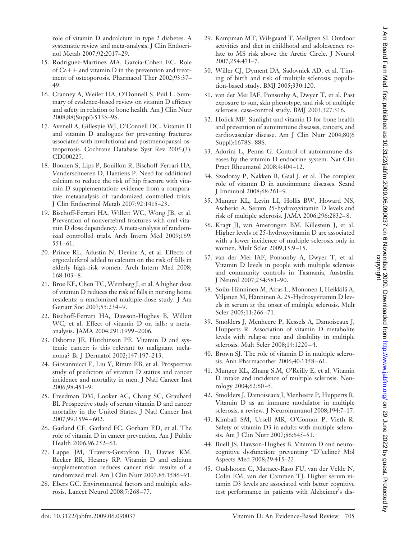role of vitamin D andcalcium in type 2 diabetes. A systematic review and meta-analysis. J Clin Endocrinol Metab 2007;92:2017–29.

- 15. Rodriguez-Martinez MA, Garcia-Cohen EC. Role of  $Ca++$  and vitamin D in the prevention and treatment of osteoporosis. Pharmacol Ther 2002;93:37– 49.
- 16. Cranney A, Weiler HA, O'Donnell S, Puil L. Summary of evidence-based review on vitamin D efficacy and safety in relation to bone health. Am J Clin Nutr 2008;88(Suppl):513S–9S.
- 17. Avenell A, Gillespie WJ, O'Connell DC. Vitamin D and vitamin D analogues for preventing fractures associated with involutional and postmenopausal osteoporosis. Cochrane Database Syst Rev 2005;(3): CD000227.
- 18. Boonen S, Lips P, Bouillon R, Bischoff-Ferrari HA, Vanderschueren D, Haetiens P. Need for additional calcium to reduce the risk of hip fracture with vitamin D supplementation: evidence from a comparative metaanalysis of randomized controlled trials. J Clin Endocrinol Metab 2007;92:1415–23.
- 19. Bischoff-Ferrari HA, Willett WC, Wong JB, et al. Prevention of nonvertebral fractures with oral vitamin D dose dependency. A meta-analysis of randomized controlled trials. Arch Intern Med 2009;169:  $551 - 61.$
- 20. Prince RL, Adustin N, Devine A, et al. Effects of ergocalciferol added to calcium on the risk of falls in elderly high-risk women. Arch Intern Med 2008; 168:103– 8.
- 21. Broe KE, Chen TC, Weinberg J, et al. A higher dose of vitamin D reduces the risk of falls in nursing home residents: a randomized multiple-dose study. J Am Geriatr Soc 2007;55:234 –9.
- 22. Bischoff-Ferrari HA, Dawson-Hughes B, Willett WC, et al. Effect of vitamin D on falls: a metaanalysis. JAMA 2004;291:1999 –2006.
- 23. Osborne JE, Hutchinson PE. Vitamin D and systemic cancer: is this relevant to malignant melanoma? Br J Dermatol 2002;147:197–213.
- 24. Giovannucci E, Liu Y, Rimm EB, et al. Prospective study of predictors of vitamin D statius and cancer incidence and mortality in men. J Natl Cancer Inst 2006;98:451–9.
- 25. Freedman DM, Looker AC, Chang SC, Graubard BI. Prospective study of serum vitamin D and cancer mortality in the United States. J Natl Cancer Inst 2007;99:1594 – 602.
- 26. Garland CF, Garland FC, Gorham ED, et al. The role of vitamin D in cancer prevention. Am J Public Health 2006;96:252-61.
- 27. Lappe JM, Travers-Gustafson D, Davies KM, Recker RR, Heaney RP. Vitamin D and calcium supplementation reduces cancer risk: results of a randomized trial. Am J Clin Nutr 2007;85:1586 –91.
- 28. Ebers GC. Environmental factors and multiple sclerosis. Lancet Neurol 2008;7:268 –77.
- 29. Kampman MT, Wilsgaard T, Mellgren SI. Outdoor activities and diet in childhood and adolescence relate to MS risk above the Arctic Circle. J Neurol 2007;254:471–7.
- 30. Willer CJ, Dyment DA, Sadovnick AD, et al. Timing of birth and risk of multiple sclerosis: population-based study. BMJ 2005;330:120.
- 31. van der Mei IAF, Ponsonby A, Dwyer T, et al. Past exposure to sun, skin phenotype, and risk of multiple sclerosis: case-control study. BMJ 2003;327:316.
- 32. Holick MF. Sunlight and vitamin D for bone health and prevention of autoimmune diseases, cancers, and cardiovascular disease. Am J Clin Nutr 2004;80(6 Suppl):1678S– 88S.
- 33. Adorini L, Penna G. Control of autoimmune diseases by the vitamin D endocrine system. Nat Clin Pract Rheumatol 2008;4:404 –12.
- 34. Szodoray P, Nakken B, Gaal J, et al. The complex role of vitamin D in autoimmune diseases. Scand J Immunol 2008;68:261–9.
- 35. Munger KL, Levin LI, Hollis BW, Howard NS, Ascherio A. Serum 25-hydroxyvitamin D levels and risk of multiple sclerosis. JAMA 2006;296:2832– 8.
- 36. Kragt JJ, van Amerongen BM, Killestein J, et al. Higher levels of 25-hydroxyvitamin D are associated with a lower incidence of multiple sclerosis only in women. Mult Scler 2009;15:9 –15.
- 37. van der Mei IAF, Ponsonby A, Dwyer T, et al. Vitamin D levels in people with multiple sclerosis and community controls in Tasmania, Australia. J Neurol 2007;254:581–90.
- 38. Soilu-Hänninen M, Airas L, Mononen I, Heikkilä A, Viljanen M, Hänninen A. 25-Hydroxyvitamin D levels in serum at the onset of multiple sclerosis. Mult Scler 2005;11:266-71.
- 39. Smolders J, Menheere P, Kessels A, Damoiseaux J, Hupperts R. Association of vitamin D metabolite levels with relapse rate and disability in multiple sclerosis. Mult Scler 2008;14:1220 – 4.
- 40. Brown SJ. The role of vitamin D in multiple sclerosis. Ann Pharmacother 2006;40:1158-61.
- 41. Munger KL, Zhang S.M, O'Reilly E, et al. Vitamin D intake and incidence of multiple sclerosis. Neurology 2004;62:60 –5.
- 42. Smolders J, Damoiseaux J, Menheere P, Hupperts R. Vitamin D as an immune modulator in multiple sclerosis, a review. J Neuroimmunol 2008;194:7–17.
- 43. Kimball SM, Ursell MR, O'Connor P, Vieth R. Safety of vitamin D3 in adults with multiple sclerosis. Am J Clin Nutr 2007;86:645–51.
- 44. Buell JS, Dawson-Hughes B. Vitamin D and neurocognitive dysfunction: preventing "D"ecline? Mol Aspects Med 2008;29:415–22.
- 45. Oudshoorn C, Mattace-Raso FU, van der Velde N, Colin EM, van der Cammen TJ. Higher serum vitamin D3 levels are associated with better cognitive test performance in patients with Alzheimer's dis-